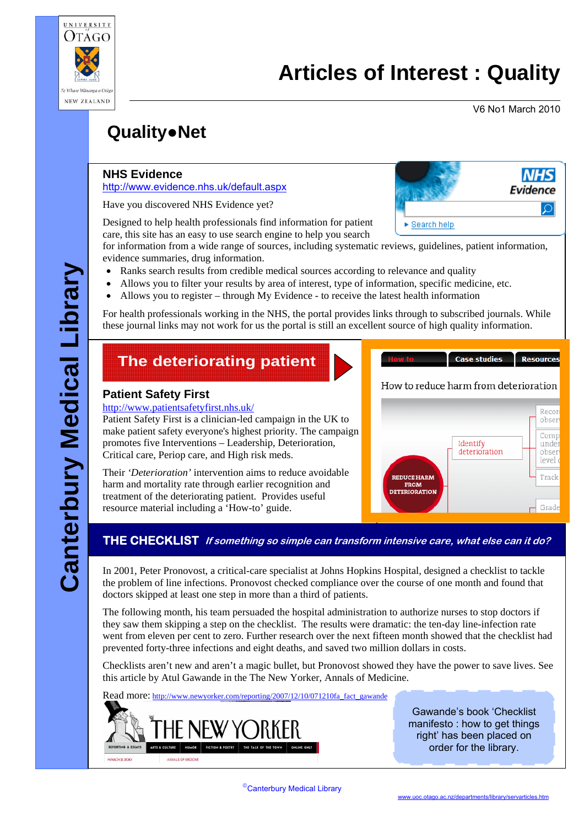

# **Articles of Interest : Quality**

V6 No1 March 2010

**NHS** 

**Resources** 

# **Quality**●**Net**

#### **NHS Evidence**

<http://www.evidence.nhs.uk/default.aspx>

Have you discovered NHS Evidence yet?

Designed to help health professionals find information for patient care, this site has an easy to use search engine to help you search

**Evidence** ାଯ ► Search help

for information from a wide range of sources, including systematic reviews, guidelines, patient information, evidence summaries, drug information.

- Ranks search results from credible medical sources according to relevance and quality
- Allows you to filter your results by area of interest, type of information, specific medicine, etc.
- Allows you to register through My Evidence to receive the latest health information

For health professionals working in the NHS, the portal provides links through to subscribed journals. While these journal links may not work for us the portal is still an excellent source of high quality information.

## **The deteriorating patient**

#### **Patient Safety First**

#### <http://www.patientsafetyfirst.nhs.uk/>

Patient Safety First is a clinician-led campaign in the UK to make patient safety everyone's highest priority. The campaign promotes five Interventions – Leadership, Deterioration, Critical care, Periop care, and High risk meds.

Their *'Deterioration'* intervention aims to reduce avoidable harm and mortality rate through earlier recognition and treatment of the deteriorating patient. Provides useful resource material including a 'How-to' guide.



#### **THE CHECKLIST If something so simple can transform intensive care, what else can it do?**

In 2001, Peter Pronovost, a critical-care specialist at Johns Hopkins Hospital, designed a checklist to tackle the problem of line infections. Pronovost checked compliance over the course of one month and found that doctors skipped at least one step in more than a third of patients.

The following month, his team persuaded the hospital administration to authorize nurses to stop doctors if they saw them skipping a step on the checklist. The results were dramatic: the ten-day line-infection rate went from eleven per cent to zero. Further research over the next fifteen month showed that the checklist had prevented forty-three infections and eight deaths, and saved two million dollars in costs.

Checklists aren't new and aren't a magic bullet, but Pronovost showed they have the power to save lives. See this article by Atul Gawande in the The New Yorker, Annals of Medicine.

Read more: http://www.newyorker.com/reporting/2007/12/10/071210fa fact\_gawande

Gawande's book 'Checklist manifesto : how to get things right' has been placed on order for the library.

How to reduce harm from deterioration

**Case studies** 

MARCH 2. 20K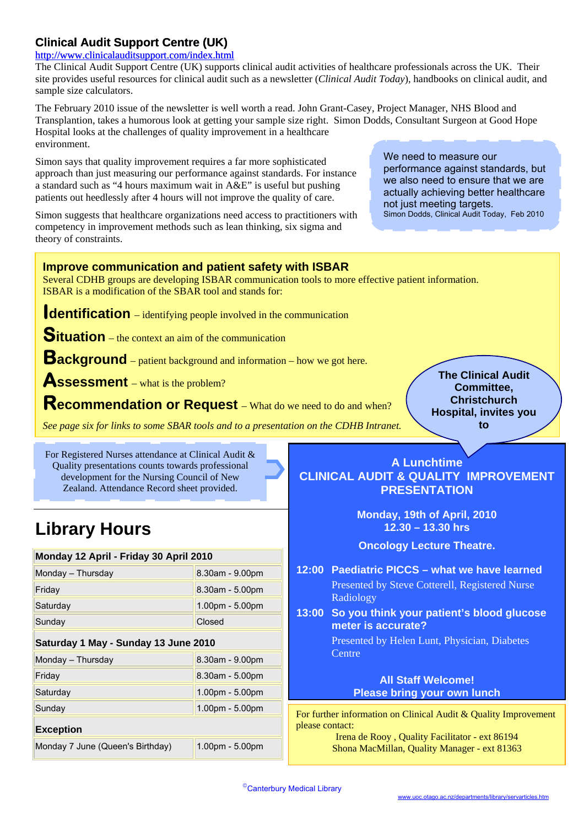### **Clinical Audit Support Centre (UK)**

#### <http://www.clinicalauditsupport.com/index.html>

The Clinical Audit Support Centre (UK) supports clinical audit activities of healthcare professionals across the UK. Their site provides useful resources for clinical audit such as a newsletter (*Clinical Audit Today*), handbooks on clinical audit, and sample size calculators.

The February 2010 issue of the newsletter is well worth a read. John Grant-Casey, Project Manager, NHS Blood and Transplantion, takes a humorous look at getting your sample size right. Simon Dodds, Consultant Surgeon at Good Hope Hospital looks at the challenges of quality improvement in a healthcare environment.

Simon says that quality improvement requires a far more sophisticated approach than just measuring our performance against standards. For instance a standard such as "4 hours maximum wait in A&E" is useful but pushing patients out heedlessly after 4 hours will not improve the quality of care.

Simon suggests that healthcare organizations need access to practitioners with competency in improvement methods such as lean thinking, six sigma and theory of constraints.

We need to measure our performance against standards, but we also need to ensure that we are actually achieving better healthcare not just meeting targets. Simon Dodds, Clinical Audit Today, Feb 2010

> **The Clinical Audit Committee, Christchurch Hospital, invites you to**

#### **Improve communication and patient safety with ISBAR**

Several CDHB groups are developing ISBAR communication tools to more effective patient information. ISBAR is a modification of the SBAR tool and stands for:

**Identification** – identifying people involved in the communication

**Situation** – the context an aim of the communication

**Background** – patient background and information – how we got here.

**Assessment** – what is the problem?

**Recommendation or Request** – What do we need to do and when?

*See page six for links to some SBAR tools and to a presentation on the CDHB Intranet.* 

For Registered Nurses attendance at Clinical Audit & Quality presentations counts towards professional development for the Nursing Council of New Zealand. Attendance Record sheet provided.

# **Library Hours**

| Monday 12 April - Friday 30 April 2010 |                    |
|----------------------------------------|--------------------|
| Monday - Thursday                      | 8.30am - 9.00pm    |
| Friday                                 | $8.30$ am - 5.00pm |
| Saturday                               | 1.00pm - 5.00pm    |
| Sunday                                 | Closed             |
| Saturday 1 May - Sunday 13 June 2010   |                    |
| Monday - Thursday                      | 8.30am - 9.00pm    |
| Friday                                 | 8.30am - 5.00pm    |
| Saturday                               | $1.00pm - 5.00pm$  |
| Sunday                                 | 1.00pm - 5.00pm    |
| <b>Exception</b>                       |                    |
| Monday 7 June (Queen's Birthday)       | $1.00pm - 5.00pm$  |

**A Lunchtime CLINICAL AUDIT & QUALITY IMPROVEMENT PRESENTATION**

> **Monday, 19th of April, 2010 12.30 – 13.30 hrs**

**Oncology Lecture Theatre.** 

- **12:00 Paediatric PICCS what we have learned**  Presented by Steve Cotterell, Registered Nurse Radiology
- **13:00 So you think your patient's blood glucose meter is accurate?**

 Presented by Helen Lunt, Physician, Diabetes **Centre** 

#### **All Staff Welcome! Please bring your own lunch**

For further information on Clinical Audit & Quality Improvement please contact:

Irena de Rooy , Quality Facilitator - ext 86194 Shona MacMillan, Quality Manager - ext 81363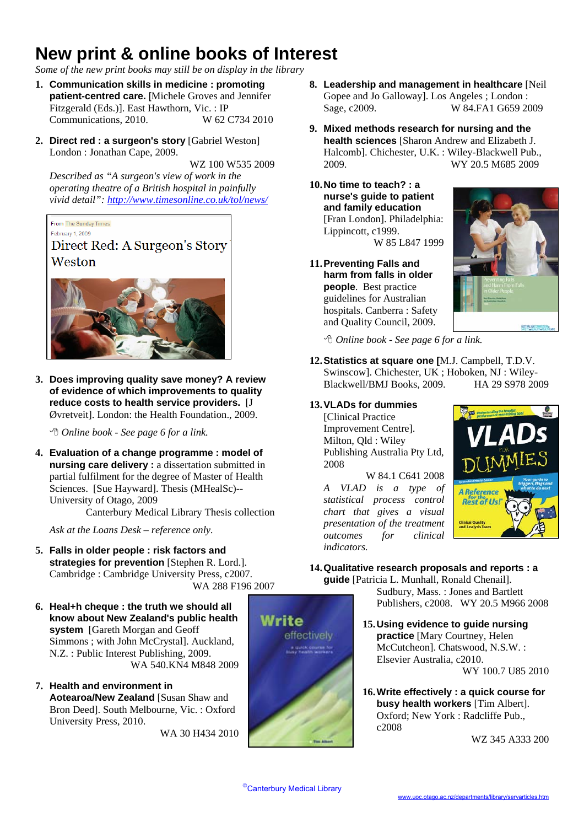# **New print & online books of Interest**

*Some of the new print books may still be on display in the library*

- **1. Communication skills in medicine : promoting patient-centred care.** [Michele Groves and Jennifer Fitzgerald (Eds.)]. East Hawthorn, Vic. : IP Communications, 2010. W 62 C734 2010
- **2. Direct red : a surgeon's story** [Gabriel Weston] London : Jonathan Cape, 2009.

WZ 100 W535 2009

*Described as "A surgeon's view of work in the operating theatre of a British hospital in painfully vivid detail":<http://www.timesonline.co.uk/tol/news/>*

From The Sunday Times

February 1, 2009 Direct Red: A Surgeon's Story Weston



**3. Does improving quality save money? A review of evidence of which improvements to quality reduce costs to health service providers.** [J Øvretveit]. London: the Health Foundation., 2009.

*Online book - See page 6 for a link.* 

**4. Evaluation of a change programme : model of nursing care delivery :** a dissertation submitted in partial fulfilment for the degree of Master of Health Sciences. [Sue Hayward]. Thesis (MHealSc)-- University of Otago, 2009

Canterbury Medical Library Thesis collection

*Ask at the Loans Desk – reference only.* 

- **5. Falls in older people : risk factors and strategies for prevention** [Stephen R. Lord.]. Cambridge : Cambridge University Press, c2007. WA 288 F196 2007
- **6. Heal+h cheque : the truth we should all know about New Zealand's public health system** [Gareth Morgan and Geoff Simmons ; with John McCrystal]. Auckland, N.Z. : Public Interest Publishing, 2009.
- **7. Health and environment in Aotearoa/New Zealand** [Susan Shaw and Bron Deed]. South Melbourne, Vic. : Oxford University Press, 2010.

- **8. Leadership and management in healthcare** [Neil Gopee and Jo Galloway]. Los Angeles ; London : Sage, c2009. W 84.FA1 G659 2009
- **9. Mixed methods research for nursing and the health sciences** [Sharon Andrew and Elizabeth J. Halcomb]. Chichester, U.K. : Wiley-Blackwell Pub., 2009. WY 20.5 M685 2009
- **10.No time to teach? : a nurse's guide to patient and family education** [Fran London]. Philadelphia: Lippincott, c1999.

W 85 L847 1999

**11.Preventing Falls and harm from falls in older people**. Best practice guidelines for Australian hospitals. Canberra : Safety and Quality Council, 2009.



*Online book - See page 6 for a link.* 

**12.Statistics at square one [**M.J. Campbell, T.D.V. Swinscow]. Chichester, UK ; Hoboken, NJ : Wiley-Blackwell/BMJ Books, 2009. HA 29 S978 2009

#### **13.VLADs for dummies**

**[Clinical Practice** Improvement Centre]. Milton, Qld : Wiley Publishing Australia Pty Ltd, 2008

W 84.1 C641 2008 *A VLAD is a type of statistical process control chart that gives a visual presentation of the treatment outcomes for clinical indicators.* 



#### **14.Qualitative research proposals and reports : a guide** [Patricia L. Munhall, Ronald Chenail].



Sudbury, Mass. : Jones and Bartlett Publishers, c2008. WY 20.5 M966 2008

- **15.Using evidence to guide nursing practice** [Mary Courtney, Helen McCutcheon]. Chatswood, N.S.W. : Elsevier Australia, c2010.<br>WA 540.KN4 M848 2009 WY 100.7 U85 2010
	- **16.Write effectively : a quick course for busy health workers** [Tim Albert]. Oxford; New York : Radcliffe Pub.,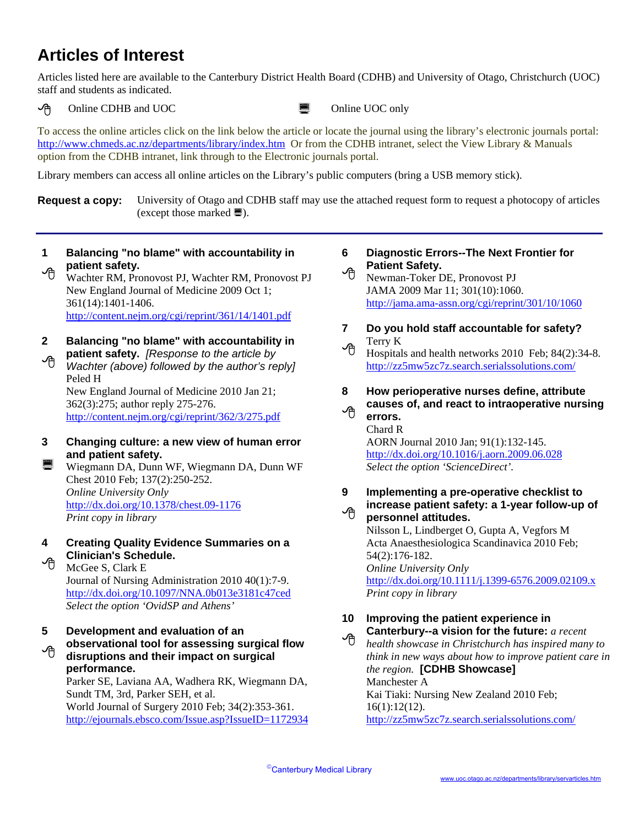## **Articles of Interest**

Articles listed here are available to the Canterbury District Health Board (CDHB) and University of Otago, Christchurch (UOC) staff and students as indicated.

 $\Theta$  Online CDHB and UOC  $\qquad \qquad \blacksquare$  Online UOC only

To access the online articles click on the link below the article or locate the journal using the library's electronic journals portal: <http://www.chmeds.ac.nz/departments/library/index.htm> Or from the CDHB intranet, select the View Library & Manuals option from the CDHB intranet, link through to the Electronic journals portal.

Library members can access all online articles on the Library's public computers (bring a USB memory stick).

**Request a copy:** University of Otago and CDHB staff may use the attached request form to request a photocopy of articles (except those marked  $\blacksquare$ ).

**Balancing "no blame" with accountability in patient safety. 1**  √ि⊓

Wachter RM, Pronovost PJ, Wachter RM, Pronovost PJ New England Journal of Medicine 2009 Oct 1; 361(14):1401-1406. <http://content.nejm.org/cgi/reprint/361/14/1401.pdf>

- **Balancing "no blame" with accountability in patient safety.** *[Response to the article by*  **2**
- *Wachter (above) followed by the author's reply]* Peled H ∽⊕ New England Journal of Medicine 2010 Jan 21; 362(3):275; author reply 275-276.

<http://content.nejm.org/cgi/reprint/362/3/275.pdf>

**Changing culture: a new view of human error and patient safety. 3** 

Wiegmann DA, Dunn WF, Wiegmann DA, Dunn WF ¡ Chest 2010 Feb; 137(2):250-252. *Online University Only* <http://dx.doi.org/10.1378/chest.09-1176> *Print copy in library*

**Creating Quality Evidence Summaries on a Clinician's Schedule. 4** 

 $\Theta$  McGee S, Clark E Journal of Nursing Administration 2010 40(1):7-9. <http://dx.doi.org/10.1097/NNA.0b013e3181c47ced> *Select the option 'OvidSP and Athens'* 

**Development and evaluation of an observational tool for assessing surgical flow disruptions and their impact on surgical performance. 5**  ≁ੋ

Parker SE, Laviana AA, Wadhera RK, Wiegmann DA, Sundt TM, 3rd, Parker SEH, et al. World Journal of Surgery 2010 Feb; 34(2):353-361. <http://ejournals.ebsco.com/Issue.asp?IssueID=1172934>

#### **Diagnostic Errors--The Next Frontier for Patient Safety. 6**

- Rewman-Toker DE, Pronovost PJ JAMA 2009 Mar 11; 301(10):1060. <http://jama.ama-assn.org/cgi/reprint/301/10/1060>
- **Do you hold staff accountable for safety?**  Terry K **7**

### $\bigoplus$  Hospitals and health networks 2010 Feb; 84(2):34-8. <http://zz5mw5zc7z.search.serialssolutions.com/>

#### **How perioperative nurses define, attribute 8**

**causes of, and react to intraoperative nursing**  ∽∩

**errors.**  Chard R AORN Journal 2010 Jan; 91(1):132-145. <http://dx.doi.org/10.1016/j.aorn.2009.06.028> *Select the option 'ScienceDirect'.* 

#### **Implementing a pre-operative checklist to 9**

**increase patient safety: a 1-year follow-up of personnel attitudes.**  −ტ

Nilsson L, Lindberget O, Gupta A, Vegfors M Acta Anaesthesiologica Scandinavica 2010 Feb; 54(2):176-182. *Online University Only*  <http://dx.doi.org/10.1111/j.1399-6576.2009.02109.x> *Print copy in library* 

#### **Improving the patient experience in 10 Canterbury--a vision for the future:** *a recent*

*health showcase in Christchurch has inspired many to think in new ways about how to improve patient care in the region.* **[CDHB Showcase]**  ゆ Manchester A Kai Tiaki: Nursing New Zealand 2010 Feb; 16(1):12(12). <http://zz5mw5zc7z.search.serialssolutions.com/>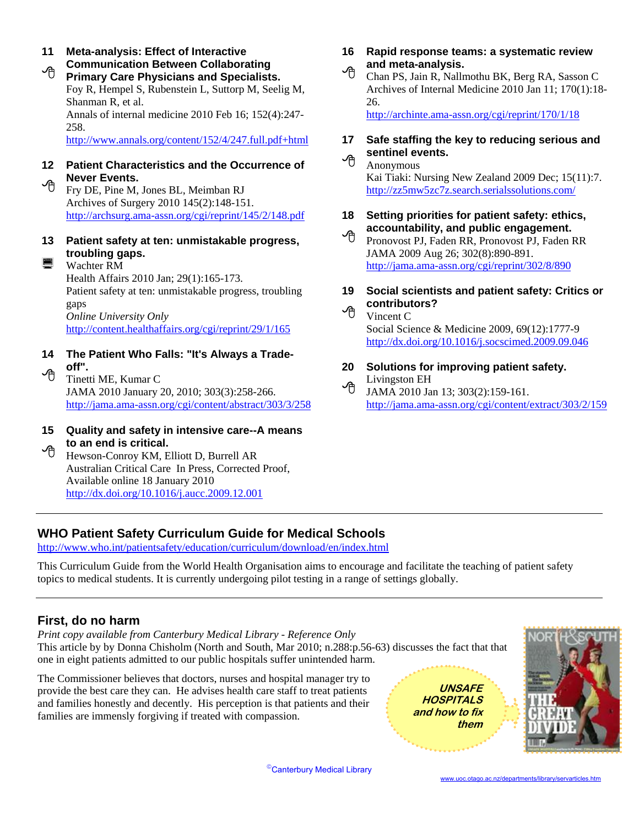**Meta-analysis: Effect of Interactive Communication Between Collaborating Primary Care Physicians and Specialists.** The Chan PS, Jain R, Nallmothu BK, Berg RA, Sasson C **11**  Foy R, Hempel S, Rubenstein L, Suttorp M, Seelig M, Shanman R, et al. Annals of internal medicine 2010 Feb 16; 152(4):247- <http://archinte.ama-assn.org/cgi/reprint/170/1/18> 258. http://www.annals.org/content/152/4/247.full.pdf+html

# 12 Patient Characteristics and the Occurrence of **12 Patient Characteristics and the Occurrence of**

Archives of Surgery 2010 145(2):148-151.

13 **Patient safety at ten: unmistakable progress,**  $\bigoplus$  *Pronovost PJ, Faden RR, Pronovost PJ, Faden RR* **troubling gaps.** JAMA 2009 Aug 26; 302(8):890-891.

Health Affairs 2010 Jan; 29(1):165-173. Patient safety at ten: unmistakable progress, troubling gaps gaps<br> *Online University Only* **Vincent C C** *Vincent C* <http://content.healthaffairs.org/cgi/reprint/29/1/165> Social Science & Medicine 2009, 69(12):1777-9

- **14 The Patient Who Falls: "It's Always a Trade-**
	- JAMA 2010 January 20, 2010; 303(3):258-266. <sup>TH</sup> JAMA 2010 Jan 13; 303(2):159-161.
- **15 Quality and safety in intensive care--A means to an end is critical.**<br><sup>**h**</sup> Hewson-Conroy KM, Elliott D, Burrell AR

Australian Critical Care In Press, Corrected Proof, Available online 18 January 2010 <http://dx.doi.org/10.1016/j.aucc.2009.12.001>

- **16 Rapid response teams: a systematic review and meta-analysis.**
- Archives of Internal Medicine 2010 Jan 11; 170(1):18- 26.

- **17 Safe staffing the key to reducing serious and sentinel events.**
- **Never Events. Kai Tiaki: Nursing New Zealand 2009 Dec; 15(11):7. Fry DE, Pine M, Jones BL, Meimban RJ** <http://zz5mw5zc7z.search.serialssolutions.com/>
	- <http://archsurg.ama-assn.org/cgi/reprint/145/2/148.pdf> **18 Setting priorities for patient safety: ethics, accountability, and public engagement.**
- $\blacksquare$  Wachter RM <http://jama.ama-assn.org/cgi/reprint/302/8/890>
	- **19 Social scientists and patient safety: Critics or contributors?** 
		- <http://dx.doi.org/10.1016/j.socscimed.2009.09.046>
- **off".**<br>
20 Solutions for improving patient safety.<br>  $\begin{matrix}\n\text{C}\n\end{matrix}$  Tinetti ME, Kumar C<br>
14MA 2010 Jan 13: 303(2):159-161
	- <http://jama.ama-assn.org/cgi/content/abstract/303/3/258> <http://jama.ama-assn.org/cgi/content/extract/303/2/159>

## **WHO Patient Safety Curriculum Guide for Medical Schools**

<http://www.who.int/patientsafety/education/curriculum/download/en/index.html>

This Curriculum Guide from the World Health Organisation aims to encourage and facilitate the teaching of patient safety topics to medical students. It is currently undergoing pilot testing in a range of settings globally.

#### **First, do no harm**

*Print copy available from Canterbury Medical Library - Reference Only* This article by by Donna Chisholm (North and South, Mar 2010; n.288:p.56-63) discusses the fact that that one in eight patients admitted to our public hospitals suffer unintended harm.

The Commissioner believes that doctors, nurses and hospital manager try to provide the best care they can. He advises health care staff to treat patients and families honestly and decently. His perception is that patients and their families are immensly forgiving if treated with compassion.

**UNSAFE HOSPITALS and how to fix them** 



©Canterbury Medical Library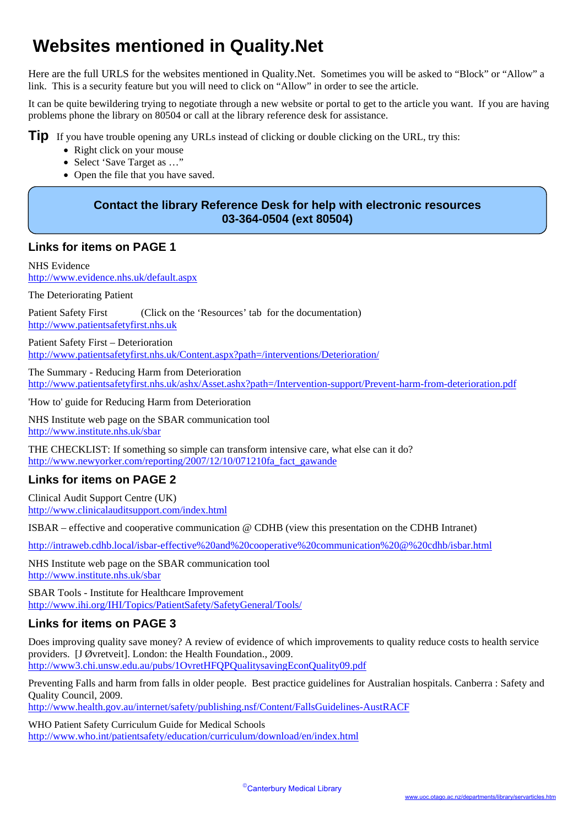# **Websites mentioned in Quality.Net**

Here are the full URLS for the websites mentioned in Quality.Net. Sometimes you will be asked to "Block" or "Allow" a link. This is a security feature but you will need to click on "Allow" in order to see the article.

It can be quite bewildering trying to negotiate through a new website or portal to get to the article you want. If you are having problems phone the library on 80504 or call at the library reference desk for assistance.

**Tip** If you have trouble opening any URLs instead of clicking or double clicking on the URL, try this:

- Right click on your mouse
- Select 'Save Target as ..."
- Open the file that you have saved.

#### **Contact the library Reference Desk for help with electronic resources 03-364-0504 (ext 80504)**

#### **Links for items on PAGE 1**

NHS Evidence <http://www.evidence.nhs.uk/default.aspx>

The Deteriorating Patient

Patient Safety First (Click on the 'Resources' tab for the documentation) [http://www.patientsafetyfirst.nhs.uk](http://www.patientsafetyfirst.nhs.uk/)

Patient Safety First – Deterioration <http://www.patientsafetyfirst.nhs.uk/Content.aspx?path=/interventions/Deterioration/>

The Summary - Reducing Harm from Deterioration <http://www.patientsafetyfirst.nhs.uk/ashx/Asset.ashx?path=/Intervention-support/Prevent-harm-from-deterioration.pdf>

'How to' guide for Reducing Harm from Deterioration

NHS Institute web page on the SBAR communication tool <http://www.institute.nhs.uk/sbar>

THE CHECKLIST: If something so simple can transform intensive care, what else can it do? [http://www.newyorker.com/reporting/2007/12/10/071210fa\\_fact\\_gawande](http://www.newyorker.com/reporting/2007/12/10/071210fa_fact_gawande)

#### **Links for items on PAGE 2**

Clinical Audit Support Centre (UK) <http://www.clinicalauditsupport.com/index.html>

ISBAR – effective and cooperative communication @ CDHB (view this presentation on the CDHB Intranet)

<http://intraweb.cdhb.local/isbar-effective%20and%20cooperative%20communication%20@%20cdhb/isbar.html>

NHS Institute web page on the SBAR communication tool <http://www.institute.nhs.uk/sbar>

SBAR Tools - Institute for Healthcare Improvement <http://www.ihi.org/IHI/Topics/PatientSafety/SafetyGeneral/Tools/>

#### **Links for items on PAGE 3**

Does improving quality save money? A review of evidence of which improvements to quality reduce costs to health service providers. [J Øvretveit]. London: the Health Foundation., 2009. <http://www3.chi.unsw.edu.au/pubs/1OvretHFQPQualitysavingEconQuality09.pdf>

Preventing Falls and harm from falls in older people. Best practice guidelines for Australian hospitals. Canberra : Safety and Quality Council, 2009.

<http://www.health.gov.au/internet/safety/publishing.nsf/Content/FallsGuidelines-AustRACF>

WHO Patient Safety Curriculum Guide for Medical Schools <http://www.who.int/patientsafety/education/curriculum/download/en/index.html>